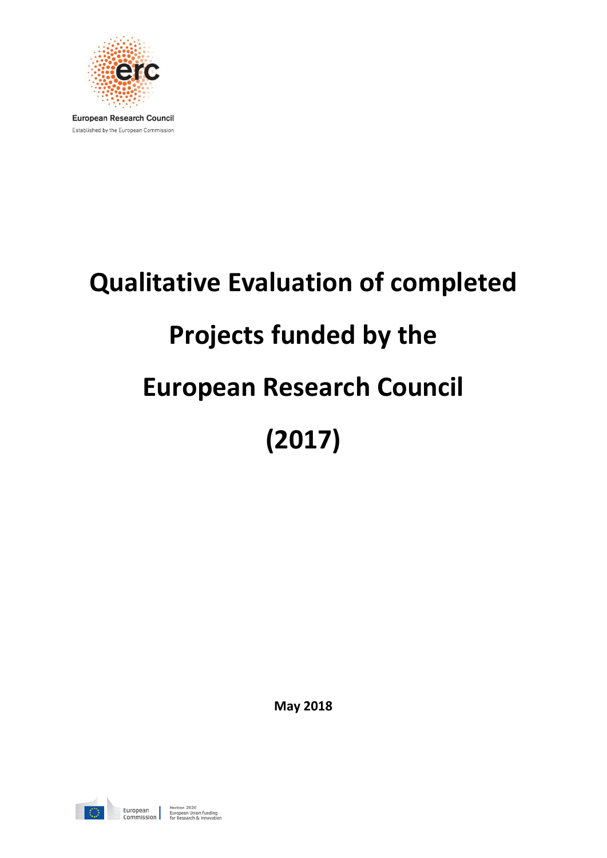

**European Research Council** Established by the European Commission

# **Qualitative Evaluation of completed Projects funded by the European Research Council (2017)**

**May 2018**

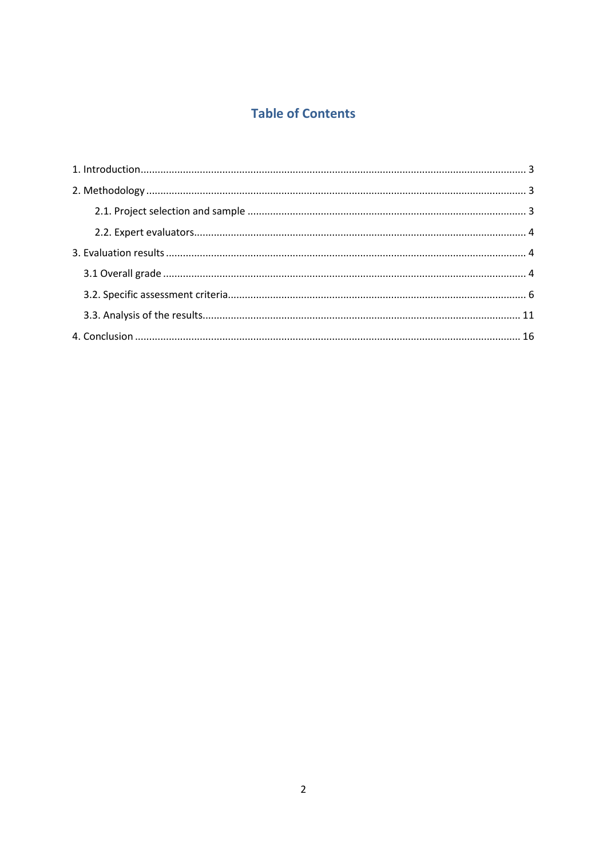## **Table of Contents**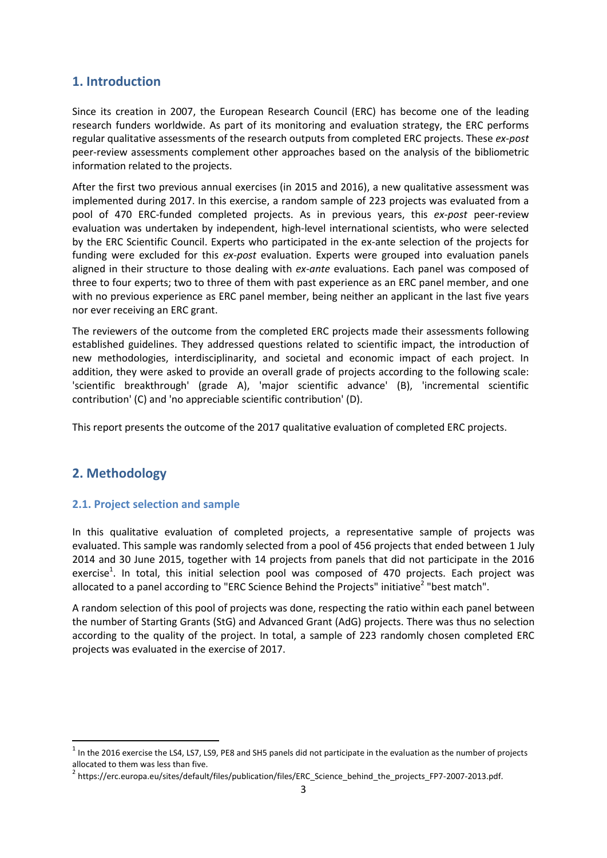## <span id="page-2-0"></span>**1. Introduction**

Since its creation in 2007, the European Research Council (ERC) has become one of the leading research funders worldwide. As part of its monitoring and evaluation strategy, the ERC performs regular qualitative assessments of the research outputs from completed ERC projects. These *ex-post* peer-review assessments complement other approaches based on the analysis of the bibliometric information related to the projects.

After the first two previous annual exercises (in 2015 and 2016), a new qualitative assessment was implemented during 2017. In this exercise, a random sample of 223 projects was evaluated from a pool of 470 ERC-funded completed projects. As in previous years, this *ex-post* peer-review evaluation was undertaken by independent, high-level international scientists, who were selected by the ERC Scientific Council. Experts who participated in the ex-ante selection of the projects for funding were excluded for this *ex-post* evaluation. Experts were grouped into evaluation panels aligned in their structure to those dealing with *ex-ante* evaluations. Each panel was composed of three to four experts; two to three of them with past experience as an ERC panel member, and one with no previous experience as ERC panel member, being neither an applicant in the last five years nor ever receiving an ERC grant.

The reviewers of the outcome from the completed ERC projects made their assessments following established guidelines. They addressed questions related to scientific impact, the introduction of new methodologies, interdisciplinarity, and societal and economic impact of each project. In addition, they were asked to provide an overall grade of projects according to the following scale: 'scientific breakthrough' (grade A), 'major scientific advance' (B), 'incremental scientific contribution' (C) and 'no appreciable scientific contribution' (D).

This report presents the outcome of the 2017 qualitative evaluation of completed ERC projects.

#### <span id="page-2-1"></span>**2. Methodology**

 $\overline{\phantom{a}}$ 

#### <span id="page-2-2"></span>**2.1. Project selection and sample**

In this qualitative evaluation of completed projects, a representative sample of projects was evaluated. This sample was randomly selected from a pool of 456 projects that ended between 1 July 2014 and 30 June 2015, together with 14 projects from panels that did not participate in the 2016 exercise<sup>1</sup>. In total, this initial selection pool was composed of 470 projects. Each project was allocated to a panel according to "ERC Science Behind the Projects" initiative<sup>2</sup> "best match".

A random selection of this pool of projects was done, respecting the ratio within each panel between the number of Starting Grants (StG) and Advanced Grant (AdG) projects. There was thus no selection according to the quality of the project. In total, a sample of 223 randomly chosen completed ERC projects was evaluated in the exercise of 2017.

 $^1$  In the 2016 exercise the LS4, LS7, LS9, PE8 and SH5 panels did not participate in the evaluation as the number of projects allocated to them was less than five.

<sup>&</sup>lt;sup>2</sup> https://erc.europa.eu/sites/default/files/publication/files/ERC\_Science\_behind\_the\_projects\_FP7-2007-2013.pdf.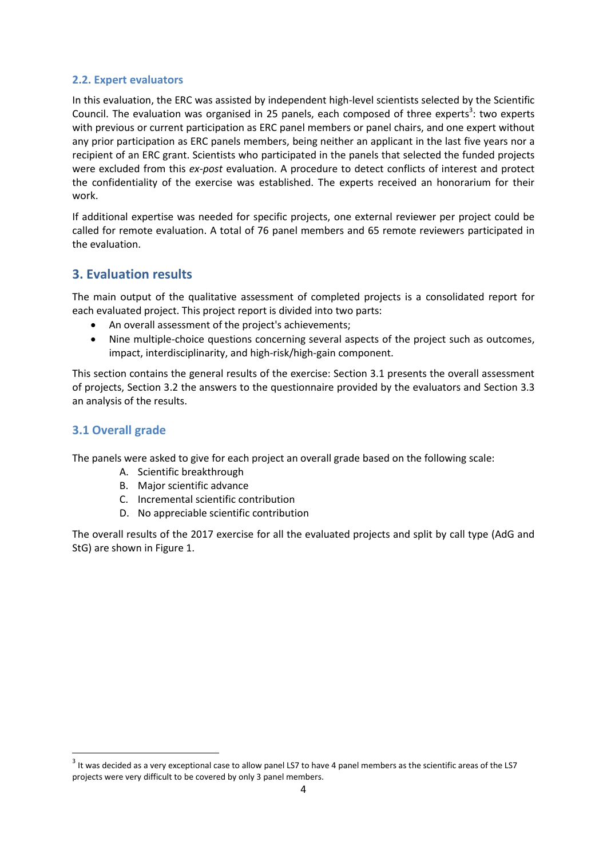#### <span id="page-3-0"></span>**2.2. Expert evaluators**

In this evaluation, the ERC was assisted by independent high-level scientists selected by the Scientific Council. The evaluation was organised in 25 panels, each composed of three experts<sup>3</sup>: two experts with previous or current participation as ERC panel members or panel chairs, and one expert without any prior participation as ERC panels members, being neither an applicant in the last five years nor a recipient of an ERC grant. Scientists who participated in the panels that selected the funded projects were excluded from this *ex-post* evaluation. A procedure to detect conflicts of interest and protect the confidentiality of the exercise was established. The experts received an honorarium for their work.

If additional expertise was needed for specific projects, one external reviewer per project could be called for remote evaluation. A total of 76 panel members and 65 remote reviewers participated in the evaluation.

### <span id="page-3-1"></span>**3. Evaluation results**

The main output of the qualitative assessment of completed projects is a consolidated report for each evaluated project. This project report is divided into two parts:

- An overall assessment of the project's achievements;
- Nine multiple-choice questions concerning several aspects of the project such as outcomes, impact, interdisciplinarity, and high-risk/high-gain component.

This section contains the general results of the exercise: Section 3.1 presents the overall assessment of projects, Section 3.2 the answers to the questionnaire provided by the evaluators and Section 3.3 an analysis of the results.

#### <span id="page-3-2"></span>**3.1 Overall grade**

 $\overline{a}$ 

The panels were asked to give for each project an overall grade based on the following scale:

- A. Scientific breakthrough
- B. Major scientific advance
- C. Incremental scientific contribution
- D. No appreciable scientific contribution

The overall results of the 2017 exercise for all the evaluated projects and split by call type (AdG and StG) are shown in Figure 1.

 $^3$  It was decided as a very exceptional case to allow panel LS7 to have 4 panel members as the scientific areas of the LS7 projects were very difficult to be covered by only 3 panel members.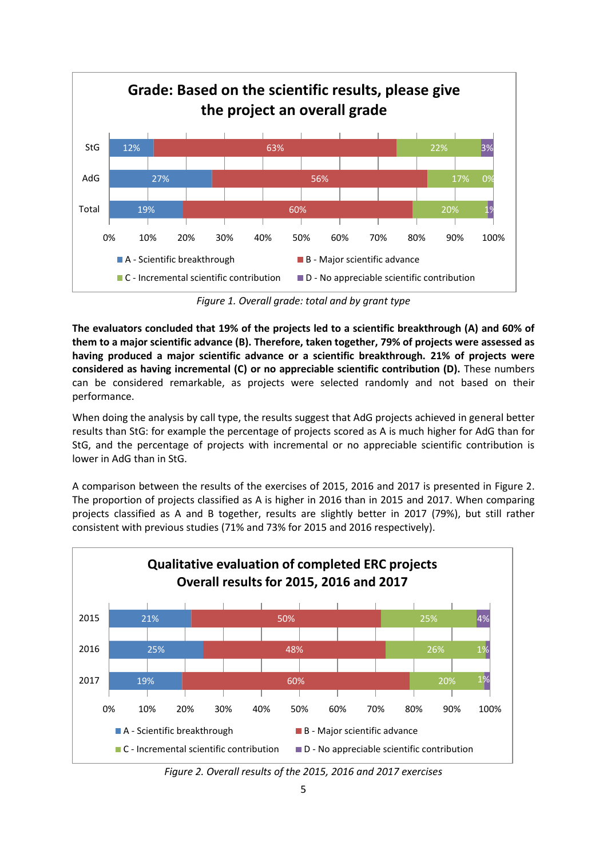

*Figure 1. Overall grade: total and by grant type*

**The evaluators concluded that 19% of the projects led to a scientific breakthrough (A) and 60% of them to a major scientific advance (B). Therefore, taken together, 79% of projects were assessed as having produced a major scientific advance or a scientific breakthrough. 21% of projects were considered as having incremental (C) or no appreciable scientific contribution (D).** These numbers can be considered remarkable, as projects were selected randomly and not based on their performance.

When doing the analysis by call type, the results suggest that AdG projects achieved in general better results than StG: for example the percentage of projects scored as A is much higher for AdG than for StG, and the percentage of projects with incremental or no appreciable scientific contribution is lower in AdG than in StG.

A comparison between the results of the exercises of 2015, 2016 and 2017 is presented in Figure 2. The proportion of projects classified as A is higher in 2016 than in 2015 and 2017. When comparing projects classified as A and B together, results are slightly better in 2017 (79%), but still rather consistent with previous studies (71% and 73% for 2015 and 2016 respectively).



*Figure 2. Overall results of the 2015, 2016 and 2017 exercises*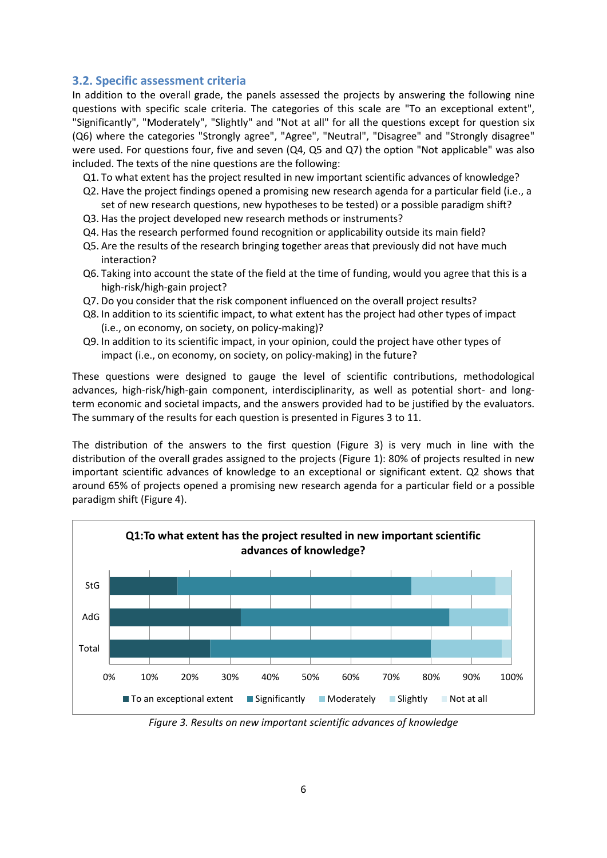#### <span id="page-5-0"></span>**3.2. Specific assessment criteria**

In addition to the overall grade, the panels assessed the projects by answering the following nine questions with specific scale criteria. The categories of this scale are "To an exceptional extent", "Significantly", "Moderately", "Slightly" and "Not at all" for all the questions except for question six (Q6) where the categories "Strongly agree", "Agree", "Neutral", "Disagree" and "Strongly disagree" were used. For questions four, five and seven (Q4, Q5 and Q7) the option "Not applicable" was also included. The texts of the nine questions are the following:

Q1. To what extent has the project resulted in new important scientific advances of knowledge?

- Q2. Have the project findings opened a promising new research agenda for a particular field (i.e., a set of new research questions, new hypotheses to be tested) or a possible paradigm shift?
- Q3. Has the project developed new research methods or instruments?
- Q4. Has the research performed found recognition or applicability outside its main field?
- Q5. Are the results of the research bringing together areas that previously did not have much interaction?
- Q6. Taking into account the state of the field at the time of funding, would you agree that this is a high-risk/high-gain project?
- Q7. Do you consider that the risk component influenced on the overall project results?
- Q8. In addition to its scientific impact, to what extent has the project had other types of impact (i.e., on economy, on society, on policy-making)?
- Q9. In addition to its scientific impact, in your opinion, could the project have other types of impact (i.e., on economy, on society, on policy-making) in the future?

These questions were designed to gauge the level of scientific contributions, methodological advances, high-risk/high-gain component, interdisciplinarity, as well as potential short- and longterm economic and societal impacts, and the answers provided had to be justified by the evaluators. The summary of the results for each question is presented in Figures 3 to 11.

The distribution of the answers to the first question (Figure 3) is very much in line with the distribution of the overall grades assigned to the projects (Figure 1): 80% of projects resulted in new important scientific advances of knowledge to an exceptional or significant extent. Q2 shows that around 65% of projects opened a promising new research agenda for a particular field or a possible paradigm shift (Figure 4).



*Figure 3. Results on new important scientific advances of knowledge*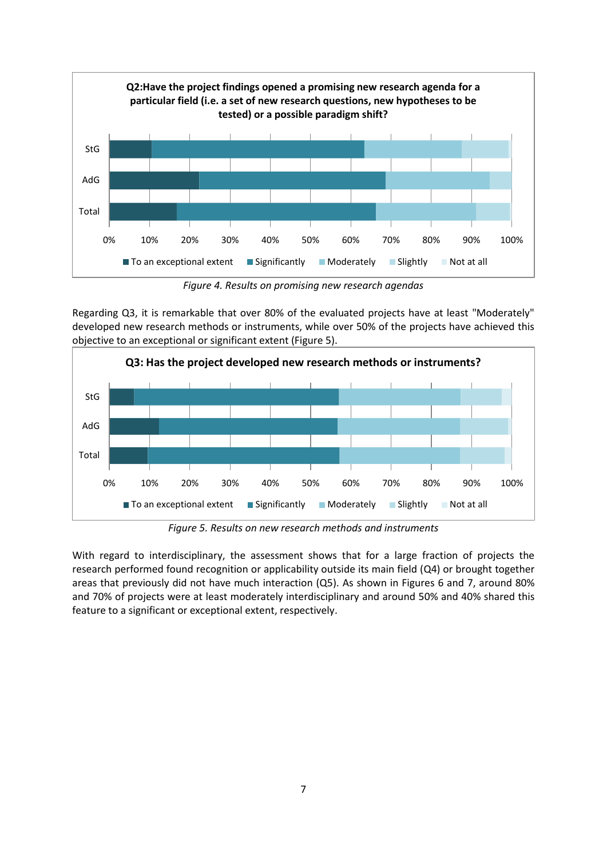

*Figure 4. Results on promising new research agendas*

Regarding Q3, it is remarkable that over 80% of the evaluated projects have at least "Moderately" developed new research methods or instruments, while over 50% of the projects have achieved this objective to an exceptional or significant extent (Figure 5).



*Figure 5. Results on new research methods and instruments*

With regard to interdisciplinary, the assessment shows that for a large fraction of projects the research performed found recognition or applicability outside its main field (Q4) or brought together areas that previously did not have much interaction (Q5). As shown in Figures 6 and 7, around 80% and 70% of projects were at least moderately interdisciplinary and around 50% and 40% shared this feature to a significant or exceptional extent, respectively.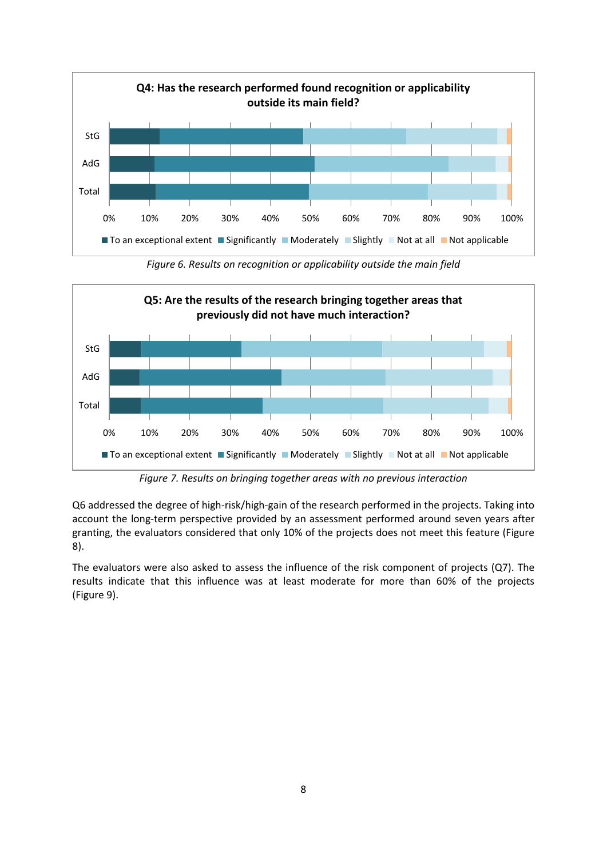

*Figure 6. Results on recognition or applicability outside the main field*



*Figure 7. Results on bringing together areas with no previous interaction*

Q6 addressed the degree of high-risk/high-gain of the research performed in the projects. Taking into account the long-term perspective provided by an assessment performed around seven years after granting, the evaluators considered that only 10% of the projects does not meet this feature (Figure 8).

The evaluators were also asked to assess the influence of the risk component of projects (Q7). The results indicate that this influence was at least moderate for more than 60% of the projects (Figure 9).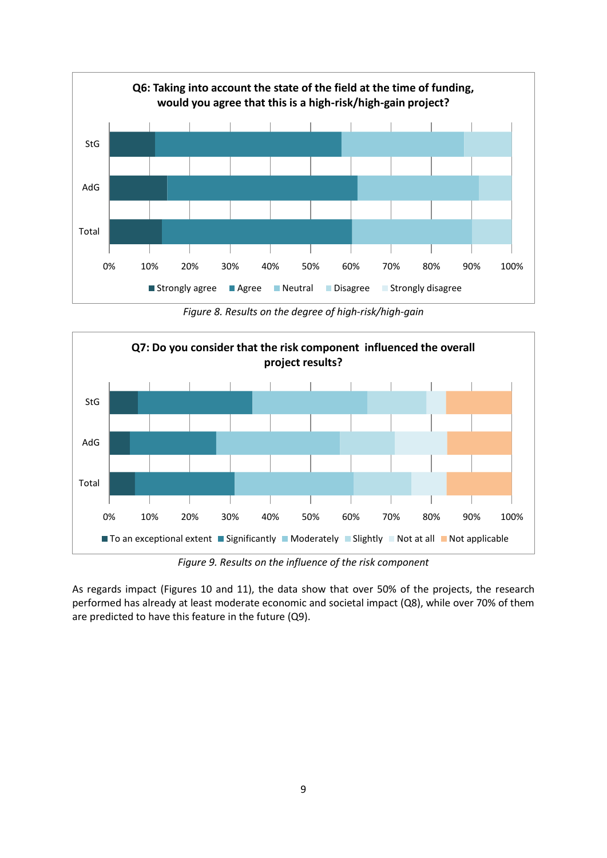

*Figure 8. Results on the degree of high-risk/high-gain*



*Figure 9. Results on the influence of the risk component*

As regards impact (Figures 10 and 11), the data show that over 50% of the projects, the research performed has already at least moderate economic and societal impact (Q8), while over 70% of them are predicted to have this feature in the future (Q9).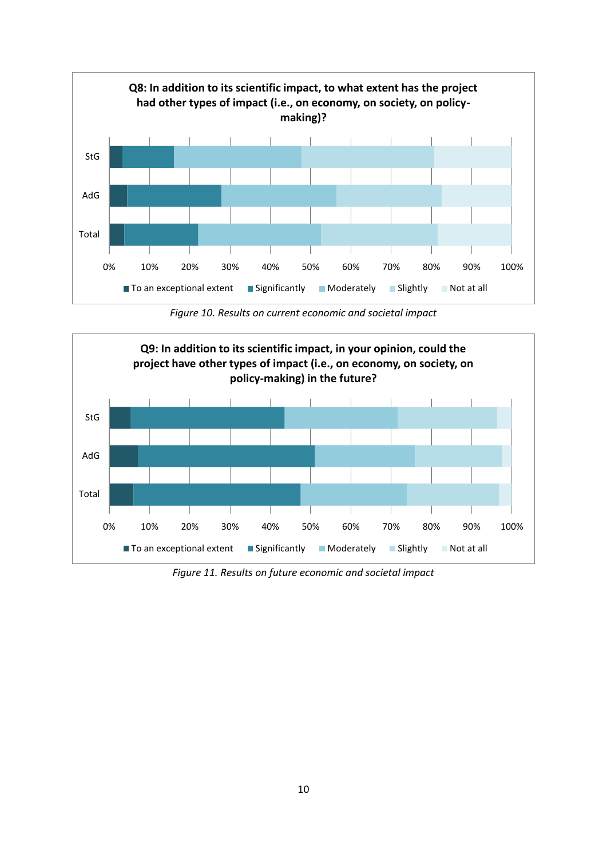

*Figure 10. Results on current economic and societal impact*



*Figure 11. Results on future economic and societal impact*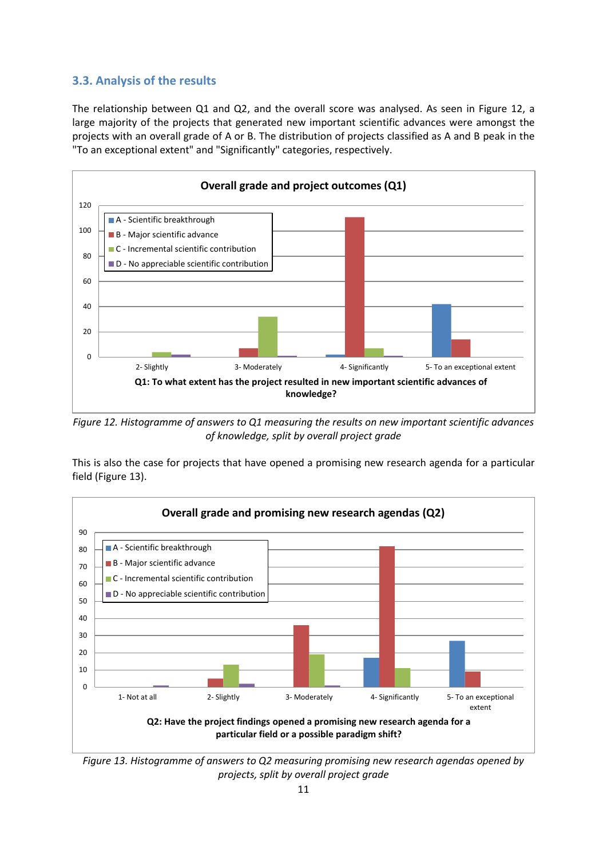#### <span id="page-10-0"></span>**3.3. Analysis of the results**

The relationship between Q1 and Q2, and the overall score was analysed. As seen in Figure 12, a large majority of the projects that generated new important scientific advances were amongst the projects with an overall grade of A or B. The distribution of projects classified as A and B peak in the "To an exceptional extent" and "Significantly" categories, respectively.



*Figure 12. Histogramme of answers to Q1 measuring the results on new important scientific advances of knowledge, split by overall project grade*

This is also the case for projects that have opened a promising new research agenda for a particular field (Figure 13).



*Figure 13. Histogramme of answers to Q2 measuring promising new research agendas opened by projects, split by overall project grade*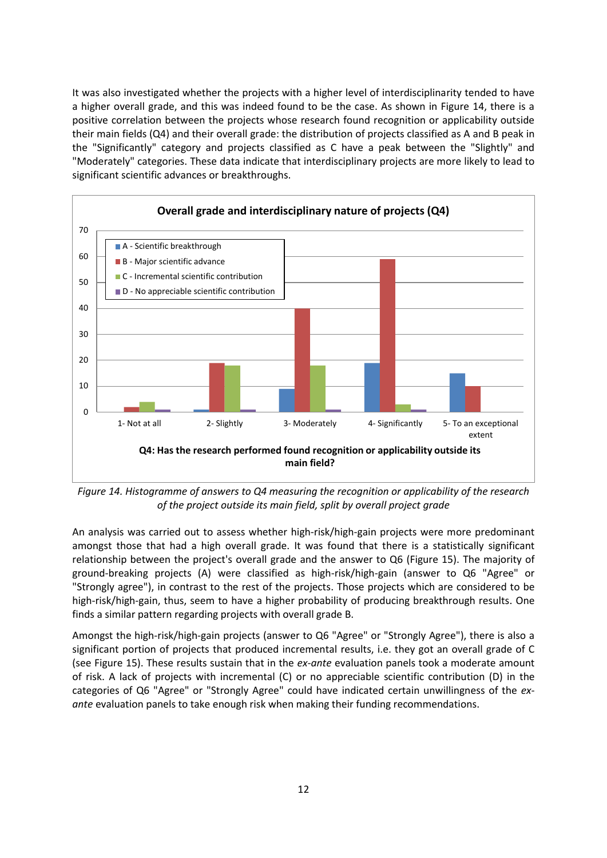It was also investigated whether the projects with a higher level of interdisciplinarity tended to have a higher overall grade, and this was indeed found to be the case. As shown in Figure 14, there is a positive correlation between the projects whose research found recognition or applicability outside their main fields (Q4) and their overall grade: the distribution of projects classified as A and B peak in the "Significantly" category and projects classified as C have a peak between the "Slightly" and "Moderately" categories. These data indicate that interdisciplinary projects are more likely to lead to significant scientific advances or breakthroughs.



*Figure 14. Histogramme of answers to Q4 measuring the recognition or applicability of the research of the project outside its main field, split by overall project grade*

An analysis was carried out to assess whether high-risk/high-gain projects were more predominant amongst those that had a high overall grade. It was found that there is a statistically significant relationship between the project's overall grade and the answer to Q6 (Figure 15). The majority of ground-breaking projects (A) were classified as high-risk/high-gain (answer to Q6 "Agree" or "Strongly agree"), in contrast to the rest of the projects. Those projects which are considered to be high-risk/high-gain, thus, seem to have a higher probability of producing breakthrough results. One finds a similar pattern regarding projects with overall grade B.

Amongst the high-risk/high-gain projects (answer to Q6 "Agree" or "Strongly Agree"), there is also a significant portion of projects that produced incremental results, i.e. they got an overall grade of C (see Figure 15). These results sustain that in the *ex-ante* evaluation panels took a moderate amount of risk. A lack of projects with incremental (C) or no appreciable scientific contribution (D) in the categories of Q6 "Agree" or "Strongly Agree" could have indicated certain unwillingness of the *exante* evaluation panels to take enough risk when making their funding recommendations.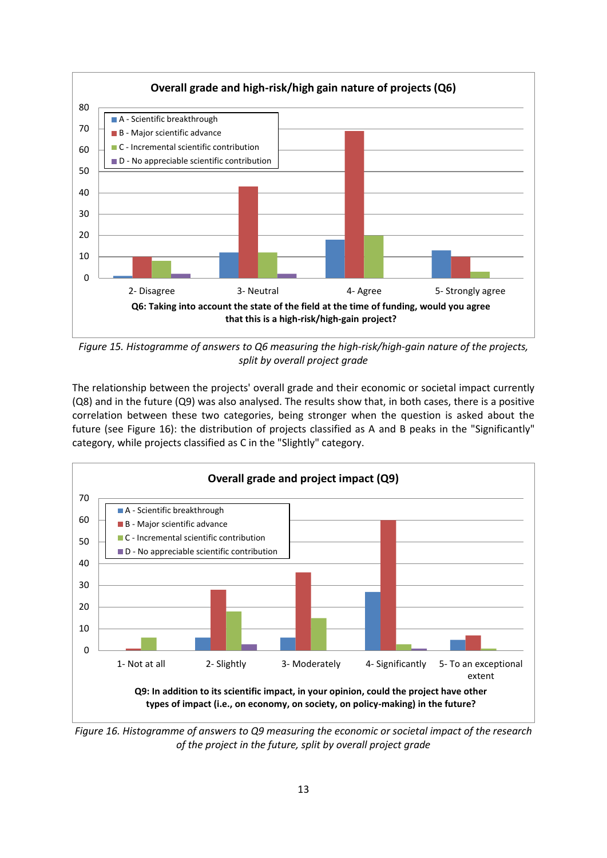

*Figure 15. Histogramme of answers to Q6 measuring the high-risk/high-gain nature of the projects, split by overall project grade*

The relationship between the projects' overall grade and their economic or societal impact currently (Q8) and in the future (Q9) was also analysed. The results show that, in both cases, there is a positive correlation between these two categories, being stronger when the question is asked about the future (see Figure 16): the distribution of projects classified as A and B peaks in the "Significantly" category, while projects classified as C in the "Slightly" category.



*Figure 16. Histogramme of answers to Q9 measuring the economic or societal impact of the research of the project in the future, split by overall project grade*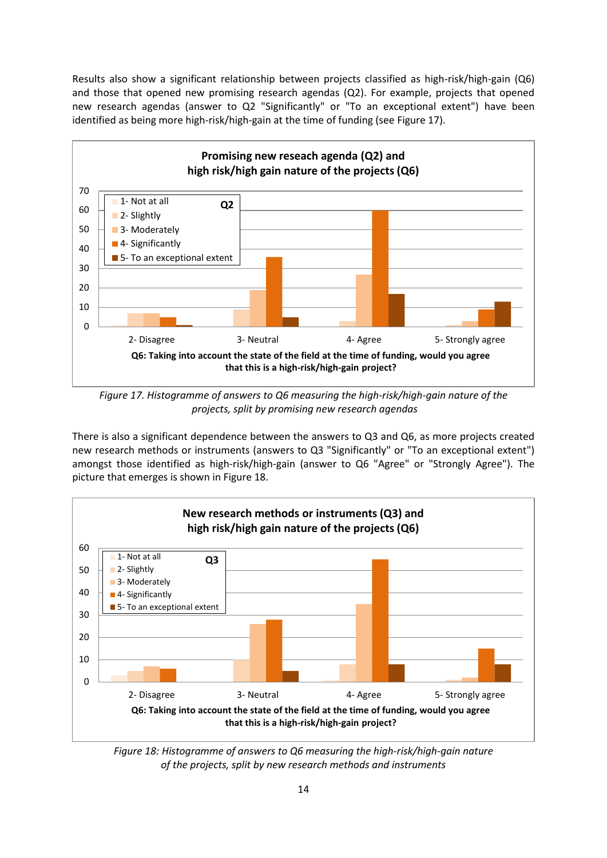Results also show a significant relationship between projects classified as high-risk/high-gain (Q6) and those that opened new promising research agendas (Q2). For example, projects that opened new research agendas (answer to Q2 "Significantly" or "To an exceptional extent") have been identified as being more high-risk/high-gain at the time of funding (see Figure 17).



*Figure 17. Histogramme of answers to Q6 measuring the high-risk/high-gain nature of the projects, split by promising new research agendas*

There is also a significant dependence between the answers to Q3 and Q6, as more projects created new research methods or instruments (answers to Q3 "Significantly" or "To an exceptional extent") amongst those identified as high-risk/high-gain (answer to Q6 "Agree" or "Strongly Agree"). The picture that emerges is shown in Figure 18.



*Figure 18: Histogramme of answers to Q6 measuring the high-risk/high-gain nature of the projects, split by new research methods and instruments*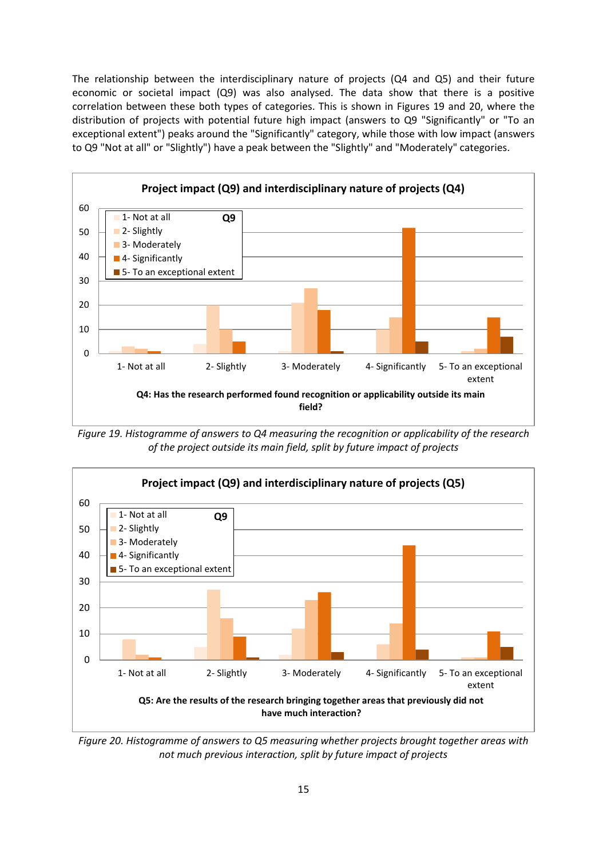The relationship between the interdisciplinary nature of projects (Q4 and Q5) and their future economic or societal impact (Q9) was also analysed. The data show that there is a positive correlation between these both types of categories. This is shown in Figures 19 and 20, where the distribution of projects with potential future high impact (answers to Q9 "Significantly" or "To an exceptional extent") peaks around the "Significantly" category, while those with low impact (answers to Q9 "Not at all" or "Slightly") have a peak between the "Slightly" and "Moderately" categories.



*Figure 19. Histogramme of answers to Q4 measuring the recognition or applicability of the research of the project outside its main field, split by future impact of projects*



*Figure 20. Histogramme of answers to Q5 measuring whether projects brought together areas with not much previous interaction, split by future impact of projects*